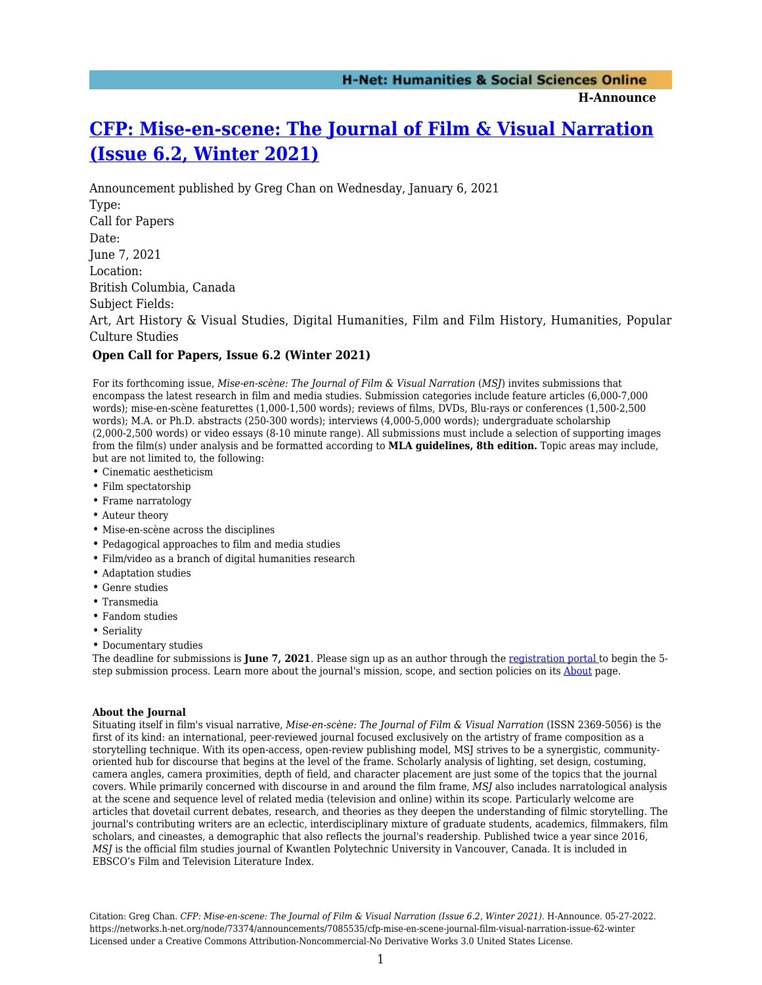**H-Announce** 

## **[CFP: Mise-en-scene: The Journal of Film & Visual Narration](https://networks.h-net.org/node/73374/announcements/7085535/cfp-mise-en-scene-journal-film-visual-narration-issue-62-winter) [\(Issue 6.2, Winter 2021\)](https://networks.h-net.org/node/73374/announcements/7085535/cfp-mise-en-scene-journal-film-visual-narration-issue-62-winter)**

Announcement published by Greg Chan on Wednesday, January 6, 2021 Type: Call for Papers Date: June 7, 2021 Location: British Columbia, Canada Subject Fields: Art, Art History & Visual Studies, Digital Humanities, Film and Film History, Humanities, Popular Culture Studies

## **Open Call for Papers, Issue 6.2 (Winter 2021)**

For its forthcoming issue, *Mise-en-scène: The Journal of Film & Visual Narration* (*MSJ*) invites submissions that encompass the latest research in film and media studies. Submission categories include feature articles (6,000-7,000 words); mise-en-scène featurettes (1,000-1,500 words); reviews of films, DVDs, Blu-rays or conferences (1,500-2,500 words); M.A. or Ph.D. abstracts (250-300 words); interviews (4,000-5,000 words); undergraduate scholarship (2,000-2,500 words) or video essays (8-10 minute range). All submissions must include a selection of supporting images from the film(s) under analysis and be formatted according to **MLA guidelines, 8th edition.** Topic areas may include, but are not limited to, the following:

- Cinematic aestheticism
- Film spectatorship
- Frame narratology
- Auteur theory
- Mise-en-scène across the disciplines
- Pedagogical approaches to film and media studies
- Film/video as a branch of digital humanities research
- Adaptation studies
- Genre studies
- Transmedia
- Fandom studies
- Seriality
- Documentary studies

The deadline for submissions is **June 7, 2021**. Please sign up as an author through the [registration portal](https://journals.sfu.ca/msq/index.php/msq/user/register) to begin the 5 step submission process. Learn more about the journal's mission, scope, and section policies on its [About](https://journals.sfu.ca/msq/index.php/msq/about/editorialPolicies#focusAndScope) page.

## **About the Journal**

Situating itself in film's visual narrative, *Mise-en-scène: The Journal of Film & Visual Narration* (ISSN 2369-5056) is the first of its kind: an international, peer-reviewed journal focused exclusively on the artistry of frame composition as a storytelling technique. With its open-access, open-review publishing model, MSJ strives to be a synergistic, communityoriented hub for discourse that begins at the level of the frame. Scholarly analysis of lighting, set design, costuming, camera angles, camera proximities, depth of field, and character placement are just some of the topics that the journal covers. While primarily concerned with discourse in and around the film frame, *MSJ* also includes narratological analysis at the scene and sequence level of related media (television and online) within its scope. Particularly welcome are articles that dovetail current debates, research, and theories as they deepen the understanding of filmic storytelling. The journal's contributing writers are an eclectic, interdisciplinary mixture of graduate students, academics, filmmakers, film scholars, and cineastes, a demographic that also reflects the journal's readership. Published twice a year since 2016, *MSJ* is the official film studies journal of Kwantlen Polytechnic University in Vancouver, Canada. It is included in EBSCO's Film and Television Literature Index.

Citation: Greg Chan. *CFP: Mise-en-scene: The Journal of Film & Visual Narration (Issue 6.2, Winter 2021)*. H-Announce. 05-27-2022. https://networks.h-net.org/node/73374/announcements/7085535/cfp-mise-en-scene-journal-film-visual-narration-issue-62-winter Licensed under a Creative Commons Attribution-Noncommercial-No Derivative Works 3.0 United States License.